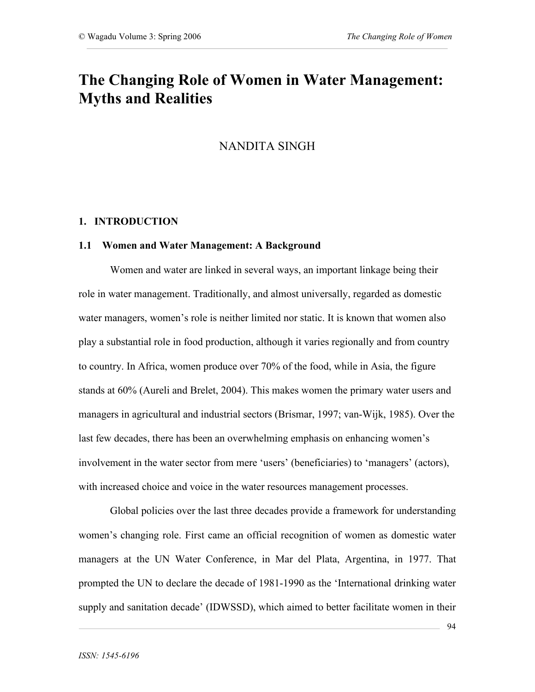## **The Changing Role of Women in Water Management: Myths and Realities**

### NANDITA SINGH

### **1. INTRODUCTION**

### **1.1 Women and Water Management: A Background**

Women and water are linked in several ways, an important linkage being their role in water management. Traditionally, and almost universally, regarded as domestic water managers, women's role is neither limited nor static. It is known that women also play a substantial role in food production, although it varies regionally and from country to country. In Africa, women produce over 70% of the food, while in Asia, the figure stands at 60% (Aureli and Brelet, 2004). This makes women the primary water users and managers in agricultural and industrial sectors (Brismar, 1997; van-Wijk, 1985). Over the last few decades, there has been an overwhelming emphasis on enhancing women's involvement in the water sector from mere 'users' (beneficiaries) to 'managers' (actors), with increased choice and voice in the water resources management processes.

Global policies over the last three decades provide a framework for understanding women's changing role. First came an official recognition of women as domestic water managers at the UN Water Conference, in Mar del Plata, Argentina, in 1977. That prompted the UN to declare the decade of 1981-1990 as the 'International drinking water supply and sanitation decade' (IDWSSD), which aimed to better facilitate women in their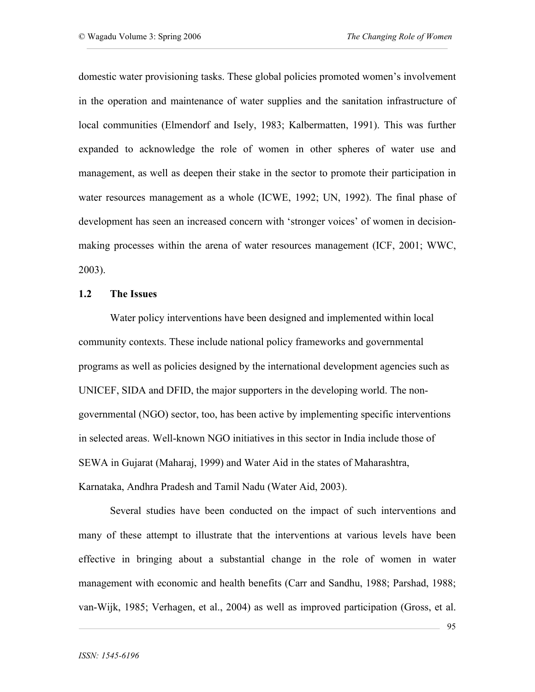domestic water provisioning tasks. These global policies promoted women's involvement in the operation and maintenance of water supplies and the sanitation infrastructure of local communities (Elmendorf and Isely, 1983; Kalbermatten, 1991). This was further expanded to acknowledge the role of women in other spheres of water use and management, as well as deepen their stake in the sector to promote their participation in water resources management as a whole (ICWE, 1992; UN, 1992). The final phase of development has seen an increased concern with 'stronger voices' of women in decisionmaking processes within the arena of water resources management (ICF, 2001; WWC, 2003).

### **1.2 The Issues**

Water policy interventions have been designed and implemented within local community contexts. These include national policy frameworks and governmental programs as well as policies designed by the international development agencies such as UNICEF, SIDA and DFID, the major supporters in the developing world. The nongovernmental (NGO) sector, too, has been active by implementing specific interventions in selected areas. Well-known NGO initiatives in this sector in India include those of SEWA in Gujarat (Maharaj, 1999) and Water Aid in the states of Maharashtra, Karnataka, Andhra Pradesh and Tamil Nadu (Water Aid, 2003).

Several studies have been conducted on the impact of such interventions and many of these attempt to illustrate that the interventions at various levels have been effective in bringing about a substantial change in the role of women in water management with economic and health benefits (Carr and Sandhu, 1988; Parshad, 1988; van-Wijk, 1985; Verhagen, et al., 2004) as well as improved participation (Gross, et al.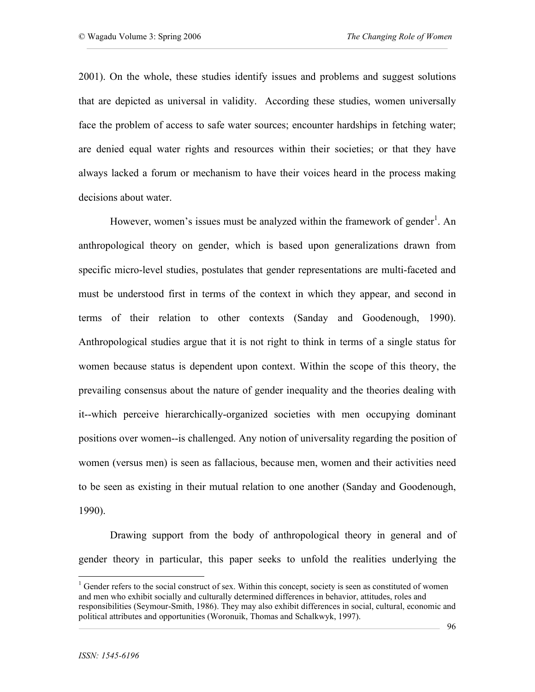2001). On the whole, these studies identify issues and problems and suggest solutions that are depicted as universal in validity. According these studies, women universally face the problem of access to safe water sources; encounter hardships in fetching water; are denied equal water rights and resources within their societies; or that they have always lacked a forum or mechanism to have their voices heard in the process making decisions about water.

However, women's issues must be analyzed within the framework of gender<sup>1</sup>. An anthropological theory on gender, which is based upon generalizations drawn from specific micro-level studies, postulates that gender representations are multi-faceted and must be understood first in terms of the context in which they appear, and second in terms of their relation to other contexts (Sanday and Goodenough, 1990). Anthropological studies argue that it is not right to think in terms of a single status for women because status is dependent upon context. Within the scope of this theory, the prevailing consensus about the nature of gender inequality and the theories dealing with it--which perceive hierarchically-organized societies with men occupying dominant positions over women--is challenged. Any notion of universality regarding the position of women (versus men) is seen as fallacious, because men, women and their activities need to be seen as existing in their mutual relation to one another (Sanday and Goodenough, 1990).

Drawing support from the body of anthropological theory in general and of gender theory in particular, this paper seeks to unfold the realities underlying the

<sup>&</sup>lt;sup>1</sup> Gender refers to the social construct of sex. Within this concept, society is seen as constituted of women and men who exhibit socially and culturally determined differences in behavior, attitudes, roles and responsibilities (Seymour-Smith, 1986). They may also exhibit differences in social, cultural, economic and political attributes and opportunities (Woronuik, Thomas and Schalkwyk, 1997).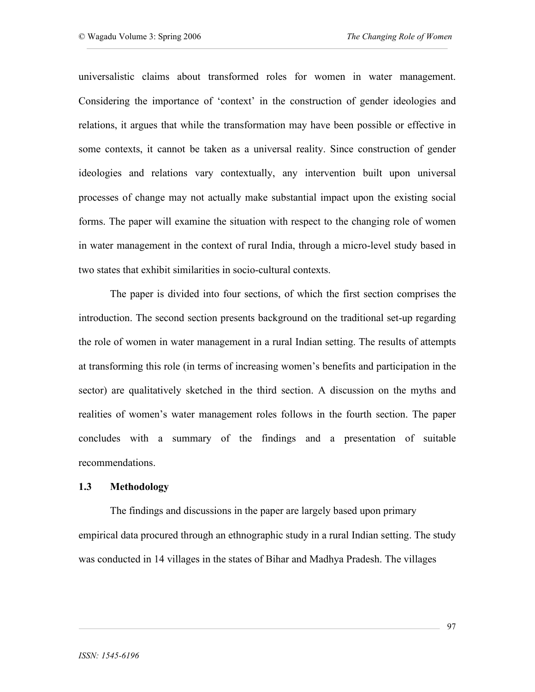universalistic claims about transformed roles for women in water management. Considering the importance of 'context' in the construction of gender ideologies and relations, it argues that while the transformation may have been possible or effective in some contexts, it cannot be taken as a universal reality. Since construction of gender ideologies and relations vary contextually, any intervention built upon universal processes of change may not actually make substantial impact upon the existing social forms. The paper will examine the situation with respect to the changing role of women in water management in the context of rural India, through a micro-level study based in two states that exhibit similarities in socio-cultural contexts.

The paper is divided into four sections, of which the first section comprises the introduction. The second section presents background on the traditional set-up regarding the role of women in water management in a rural Indian setting. The results of attempts at transforming this role (in terms of increasing women's benefits and participation in the sector) are qualitatively sketched in the third section. A discussion on the myths and realities of women's water management roles follows in the fourth section. The paper concludes with a summary of the findings and a presentation of suitable recommendations.

### **1.3 Methodology**

The findings and discussions in the paper are largely based upon primary empirical data procured through an ethnographic study in a rural Indian setting. The study was conducted in 14 villages in the states of Bihar and Madhya Pradesh. The villages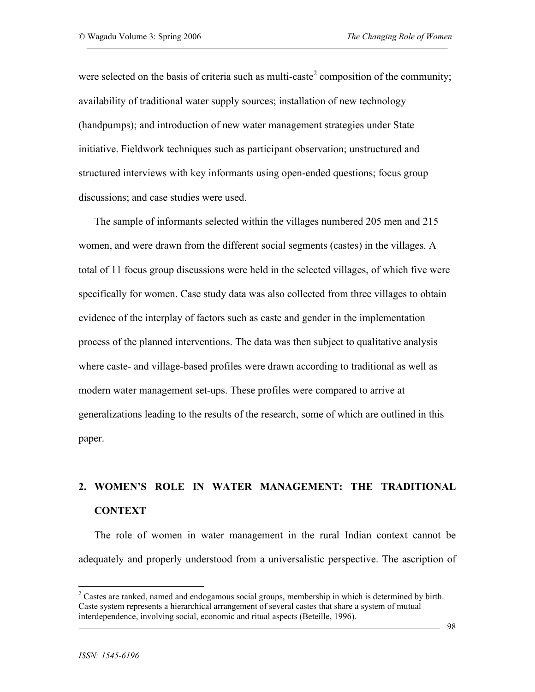were selected on the basis of criteria such as multi-caste<sup>2</sup> composition of the community; availability of traditional water supply sources; installation of new technology (handpumps); and introduction of new water management strategies under State initiative. Fieldwork techniques such as participant observation; unstructured and structured interviews with key informants using open-ended questions; focus group discussions; and case studies were used.

The sample of informants selected within the villages numbered 205 men and 215 women, and were drawn from the different social segments (castes) in the villages. A total of 11 focus group discussions were held in the selected villages, of which five were specifically for women. Case study data was also collected from three villages to obtain evidence of the interplay of factors such as caste and gender in the implementation process of the planned interventions. The data was then subject to qualitative analysis where caste- and village-based profiles were drawn according to traditional as well as modern water management set-ups. These profiles were compared to arrive at generalizations leading to the results of the research, some of which are outlined in this paper.

# **2. WOMEN'S ROLE IN WATER MANAGEMENT: THE TRADITIONAL CONTEXT**

The role of women in water management in the rural Indian context cannot be adequately and properly understood from a universalistic perspective. The ascription of

<sup>&</sup>lt;sup>2</sup> Castes are ranked, named and endogamous social groups, membership in which is determined by birth. Caste system represents a hierarchical arrangement of several castes that share a system of mutual interdependence, involving social, economic and ritual aspects (Beteille, 1996).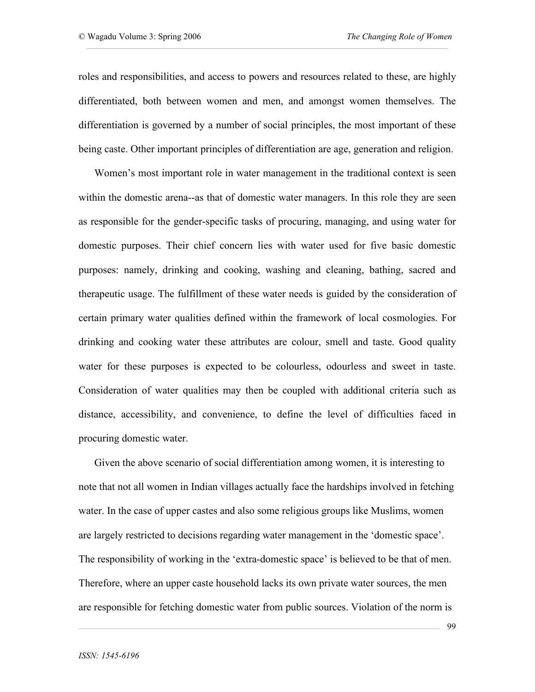roles and responsibilities, and access to powers and resources related to these, are highly differentiated, both between women and men, and amongst women themselves. The differentiation is governed by a number of social principles, the most important of these being caste. Other important principles of differentiation are age, generation and religion.

Women's most important role in water management in the traditional context is seen within the domestic arena--as that of domestic water managers. In this role they are seen as responsible for the gender-specific tasks of procuring, managing, and using water for domestic purposes. Their chief concern lies with water used for five basic domestic purposes: namely, drinking and cooking, washing and cleaning, bathing, sacred and therapeutic usage. The fulfillment of these water needs is guided by the consideration of certain primary water qualities defined within the framework of local cosmologies. For drinking and cooking water these attributes are colour, smell and taste. Good quality water for these purposes is expected to be colourless, odourless and sweet in taste. Consideration of water qualities may then be coupled with additional criteria such as distance, accessibility, and convenience, to define the level of difficulties faced in procuring domestic water.

Given the above scenario of social differentiation among women, it is interesting to note that not all women in Indian villages actually face the hardships involved in fetching water. In the case of upper castes and also some religious groups like Muslims, women are largely restricted to decisions regarding water management in the 'domestic space'. The responsibility of working in the 'extra-domestic space' is believed to be that of men. Therefore, where an upper caste household lacks its own private water sources, the men are responsible for fetching domestic water from public sources. Violation of the norm is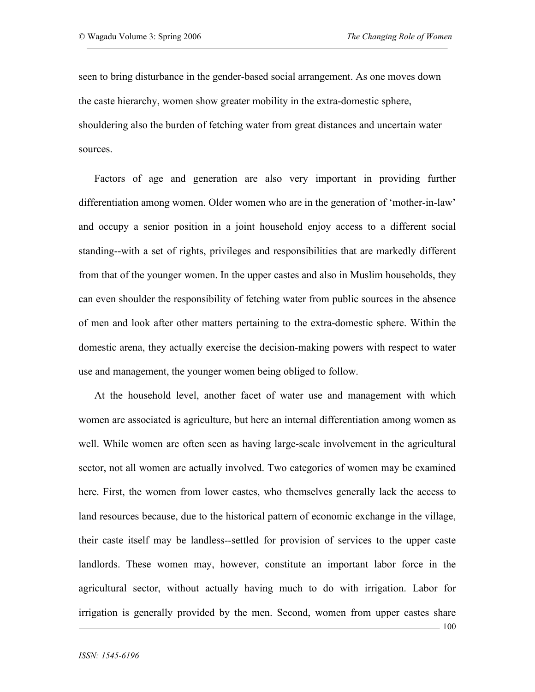seen to bring disturbance in the gender-based social arrangement. As one moves down the caste hierarchy, women show greater mobility in the extra-domestic sphere, shouldering also the burden of fetching water from great distances and uncertain water sources.

Factors of age and generation are also very important in providing further differentiation among women. Older women who are in the generation of 'mother-in-law' and occupy a senior position in a joint household enjoy access to a different social standing--with a set of rights, privileges and responsibilities that are markedly different from that of the younger women. In the upper castes and also in Muslim households, they can even shoulder the responsibility of fetching water from public sources in the absence of men and look after other matters pertaining to the extra-domestic sphere. Within the domestic arena, they actually exercise the decision-making powers with respect to water use and management, the younger women being obliged to follow.

At the household level, another facet of water use and management with which women are associated is agriculture, but here an internal differentiation among women as well. While women are often seen as having large-scale involvement in the agricultural sector, not all women are actually involved. Two categories of women may be examined here. First, the women from lower castes, who themselves generally lack the access to land resources because, due to the historical pattern of economic exchange in the village, their caste itself may be landless--settled for provision of services to the upper caste landlords. These women may, however, constitute an important labor force in the agricultural sector, without actually having much to do with irrigation. Labor for irrigation is generally provided by the men. Second, women from upper castes share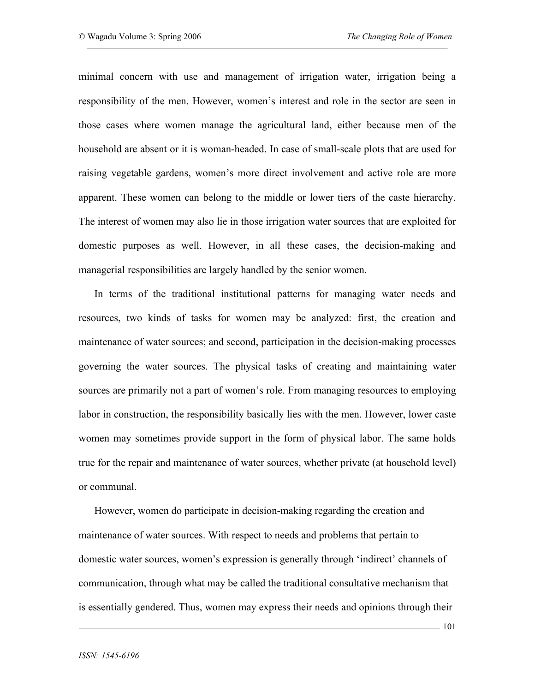minimal concern with use and management of irrigation water, irrigation being a responsibility of the men. However, women's interest and role in the sector are seen in those cases where women manage the agricultural land, either because men of the household are absent or it is woman-headed. In case of small-scale plots that are used for raising vegetable gardens, women's more direct involvement and active role are more apparent. These women can belong to the middle or lower tiers of the caste hierarchy. The interest of women may also lie in those irrigation water sources that are exploited for domestic purposes as well. However, in all these cases, the decision-making and managerial responsibilities are largely handled by the senior women.

In terms of the traditional institutional patterns for managing water needs and resources, two kinds of tasks for women may be analyzed: first, the creation and maintenance of water sources; and second, participation in the decision-making processes governing the water sources. The physical tasks of creating and maintaining water sources are primarily not a part of women's role. From managing resources to employing labor in construction, the responsibility basically lies with the men. However, lower caste women may sometimes provide support in the form of physical labor. The same holds true for the repair and maintenance of water sources, whether private (at household level) or communal.

However, women do participate in decision-making regarding the creation and maintenance of water sources. With respect to needs and problems that pertain to domestic water sources, women's expression is generally through 'indirect' channels of communication, through what may be called the traditional consultative mechanism that is essentially gendered. Thus, women may express their needs and opinions through their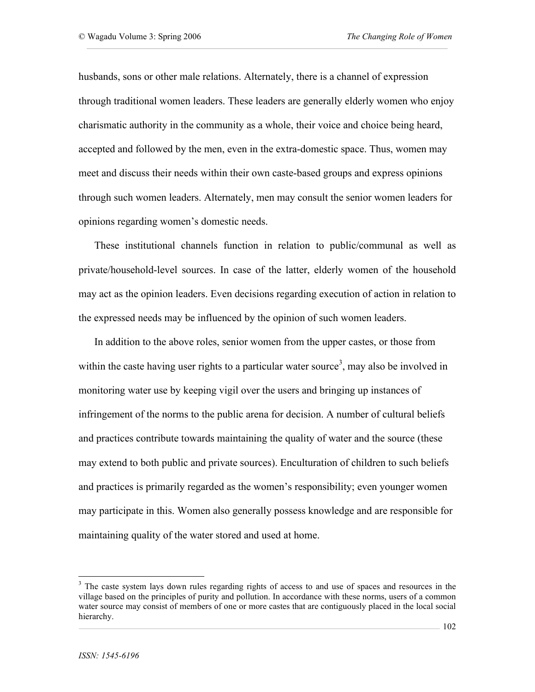husbands, sons or other male relations. Alternately, there is a channel of expression through traditional women leaders. These leaders are generally elderly women who enjoy charismatic authority in the community as a whole, their voice and choice being heard, accepted and followed by the men, even in the extra-domestic space. Thus, women may meet and discuss their needs within their own caste-based groups and express opinions through such women leaders. Alternately, men may consult the senior women leaders for opinions regarding women's domestic needs.

These institutional channels function in relation to public/communal as well as private/household-level sources. In case of the latter, elderly women of the household may act as the opinion leaders. Even decisions regarding execution of action in relation to the expressed needs may be influenced by the opinion of such women leaders.

In addition to the above roles, senior women from the upper castes, or those from within the caste having user rights to a particular water source<sup>3</sup>, may also be involved in monitoring water use by keeping vigil over the users and bringing up instances of infringement of the norms to the public arena for decision. A number of cultural beliefs and practices contribute towards maintaining the quality of water and the source (these may extend to both public and private sources). Enculturation of children to such beliefs and practices is primarily regarded as the women's responsibility; even younger women may participate in this. Women also generally possess knowledge and are responsible for maintaining quality of the water stored and used at home.

<sup>&</sup>lt;sup>3</sup> The caste system lays down rules regarding rights of access to and use of spaces and resources in the village based on the principles of purity and pollution. In accordance with these norms, users of a common water source may consist of members of one or more castes that are contiguously placed in the local social hierarchy.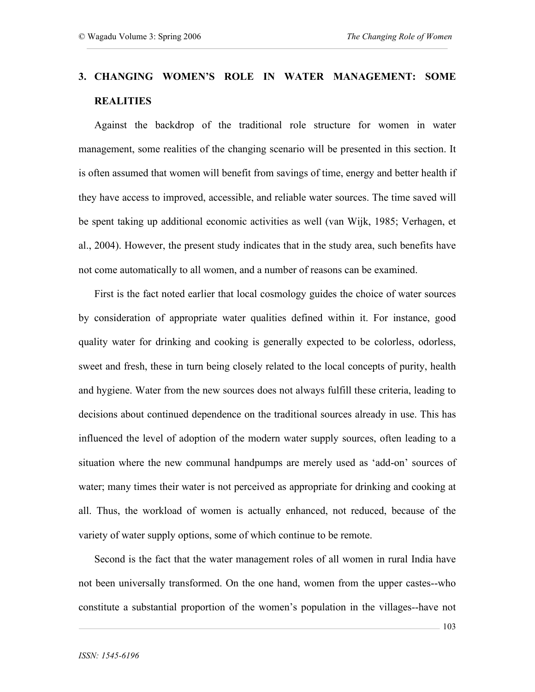## **3. CHANGING WOMEN'S ROLE IN WATER MANAGEMENT: SOME REALITIES**

Against the backdrop of the traditional role structure for women in water management, some realities of the changing scenario will be presented in this section. It is often assumed that women will benefit from savings of time, energy and better health if they have access to improved, accessible, and reliable water sources. The time saved will be spent taking up additional economic activities as well (van Wijk, 1985; Verhagen, et al., 2004). However, the present study indicates that in the study area, such benefits have not come automatically to all women, and a number of reasons can be examined.

First is the fact noted earlier that local cosmology guides the choice of water sources by consideration of appropriate water qualities defined within it. For instance, good quality water for drinking and cooking is generally expected to be colorless, odorless, sweet and fresh, these in turn being closely related to the local concepts of purity, health and hygiene. Water from the new sources does not always fulfill these criteria, leading to decisions about continued dependence on the traditional sources already in use. This has influenced the level of adoption of the modern water supply sources, often leading to a situation where the new communal handpumps are merely used as 'add-on' sources of water; many times their water is not perceived as appropriate for drinking and cooking at all. Thus, the workload of women is actually enhanced, not reduced, because of the variety of water supply options, some of which continue to be remote.

Second is the fact that the water management roles of all women in rural India have not been universally transformed. On the one hand, women from the upper castes--who constitute a substantial proportion of the women's population in the villages--have not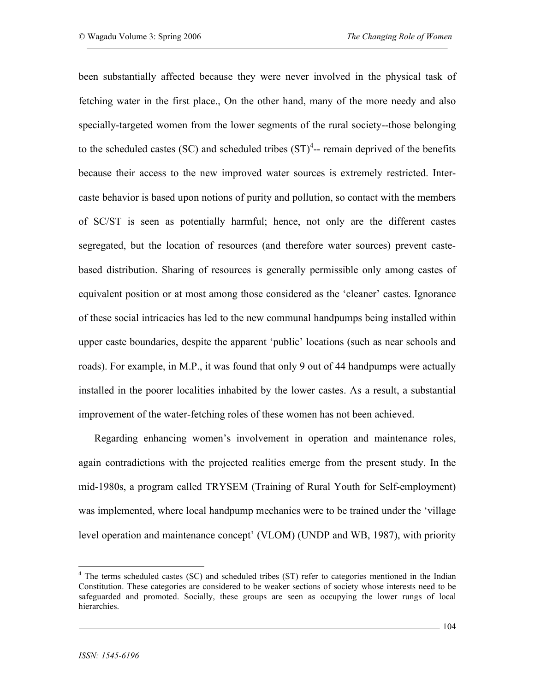been substantially affected because they were never involved in the physical task of fetching water in the first place., On the other hand, many of the more needy and also specially-targeted women from the lower segments of the rural society--those belonging to the scheduled castes (SC) and scheduled tribes  $(ST)^4$ -- remain deprived of the benefits because their access to the new improved water sources is extremely restricted. Intercaste behavior is based upon notions of purity and pollution, so contact with the members of SC/ST is seen as potentially harmful; hence, not only are the different castes segregated, but the location of resources (and therefore water sources) prevent castebased distribution. Sharing of resources is generally permissible only among castes of equivalent position or at most among those considered as the 'cleaner' castes. Ignorance of these social intricacies has led to the new communal handpumps being installed within upper caste boundaries, despite the apparent 'public' locations (such as near schools and roads). For example, in M.P., it was found that only 9 out of 44 handpumps were actually installed in the poorer localities inhabited by the lower castes. As a result, a substantial improvement of the water-fetching roles of these women has not been achieved.

Regarding enhancing women's involvement in operation and maintenance roles, again contradictions with the projected realities emerge from the present study. In the mid-1980s, a program called TRYSEM (Training of Rural Youth for Self-employment) was implemented, where local handpump mechanics were to be trained under the 'village level operation and maintenance concept' (VLOM) (UNDP and WB, 1987), with priority

<sup>&</sup>lt;sup>4</sup> The terms scheduled castes (SC) and scheduled tribes (ST) refer to categories mentioned in the Indian Constitution. These categories are considered to be weaker sections of society whose interests need to be safeguarded and promoted. Socially, these groups are seen as occupying the lower rungs of local hierarchies.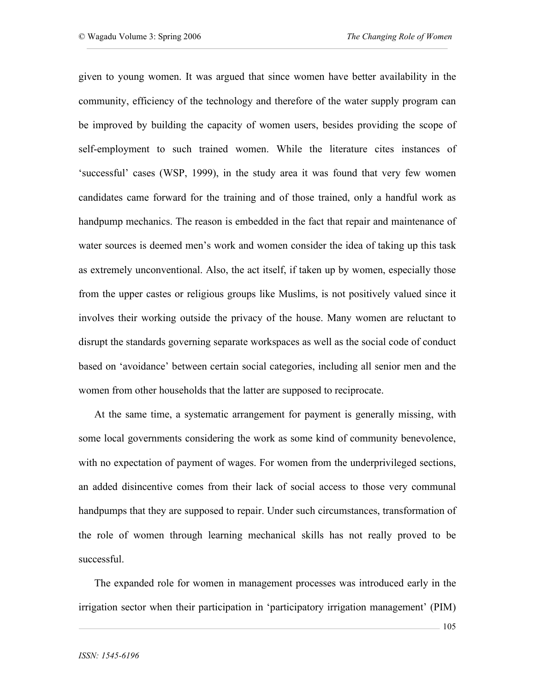given to young women. It was argued that since women have better availability in the community, efficiency of the technology and therefore of the water supply program can be improved by building the capacity of women users, besides providing the scope of self-employment to such trained women. While the literature cites instances of 'successful' cases (WSP, 1999), in the study area it was found that very few women candidates came forward for the training and of those trained, only a handful work as handpump mechanics. The reason is embedded in the fact that repair and maintenance of water sources is deemed men's work and women consider the idea of taking up this task as extremely unconventional. Also, the act itself, if taken up by women, especially those from the upper castes or religious groups like Muslims, is not positively valued since it involves their working outside the privacy of the house. Many women are reluctant to disrupt the standards governing separate workspaces as well as the social code of conduct based on 'avoidance' between certain social categories, including all senior men and the women from other households that the latter are supposed to reciprocate.

At the same time, a systematic arrangement for payment is generally missing, with some local governments considering the work as some kind of community benevolence, with no expectation of payment of wages. For women from the underprivileged sections, an added disincentive comes from their lack of social access to those very communal handpumps that they are supposed to repair. Under such circumstances, transformation of the role of women through learning mechanical skills has not really proved to be successful.

The expanded role for women in management processes was introduced early in the irrigation sector when their participation in 'participatory irrigation management' (PIM)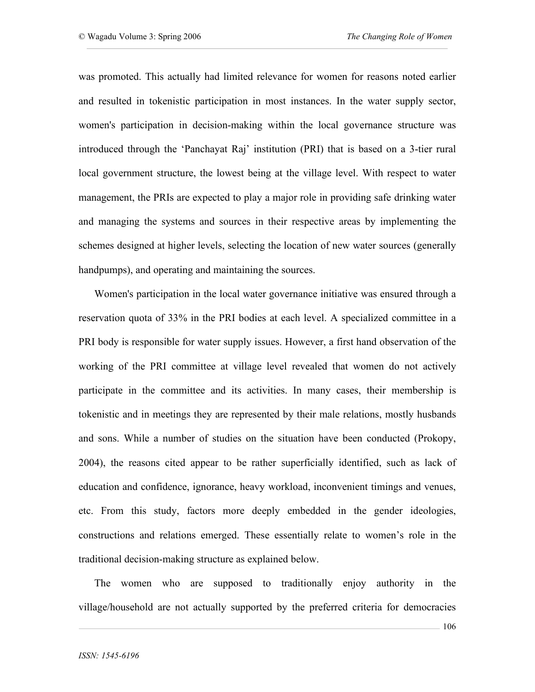was promoted. This actually had limited relevance for women for reasons noted earlier and resulted in tokenistic participation in most instances. In the water supply sector, women's participation in decision-making within the local governance structure was introduced through the 'Panchayat Raj' institution (PRI) that is based on a 3-tier rural local government structure, the lowest being at the village level. With respect to water management, the PRIs are expected to play a major role in providing safe drinking water and managing the systems and sources in their respective areas by implementing the schemes designed at higher levels, selecting the location of new water sources (generally handpumps), and operating and maintaining the sources.

Women's participation in the local water governance initiative was ensured through a reservation quota of 33% in the PRI bodies at each level. A specialized committee in a PRI body is responsible for water supply issues. However, a first hand observation of the working of the PRI committee at village level revealed that women do not actively participate in the committee and its activities. In many cases, their membership is tokenistic and in meetings they are represented by their male relations, mostly husbands and sons. While a number of studies on the situation have been conducted (Prokopy, 2004), the reasons cited appear to be rather superficially identified, such as lack of education and confidence, ignorance, heavy workload, inconvenient timings and venues, etc. From this study, factors more deeply embedded in the gender ideologies, constructions and relations emerged. These essentially relate to women's role in the traditional decision-making structure as explained below.

The women who are supposed to traditionally enjoy authority in the village/household are not actually supported by the preferred criteria for democracies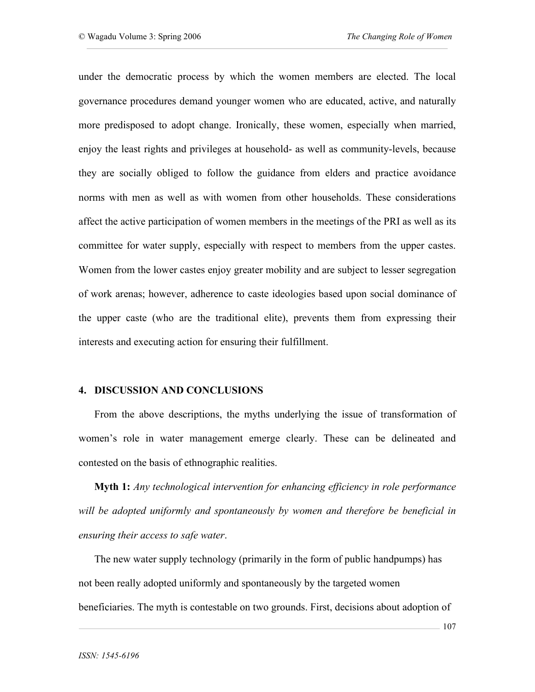under the democratic process by which the women members are elected. The local governance procedures demand younger women who are educated, active, and naturally more predisposed to adopt change. Ironically, these women, especially when married, enjoy the least rights and privileges at household- as well as community-levels, because they are socially obliged to follow the guidance from elders and practice avoidance norms with men as well as with women from other households. These considerations affect the active participation of women members in the meetings of the PRI as well as its committee for water supply, especially with respect to members from the upper castes. Women from the lower castes enjoy greater mobility and are subject to lesser segregation of work arenas; however, adherence to caste ideologies based upon social dominance of the upper caste (who are the traditional elite), prevents them from expressing their interests and executing action for ensuring their fulfillment.

### **4. DISCUSSION AND CONCLUSIONS**

From the above descriptions, the myths underlying the issue of transformation of women's role in water management emerge clearly. These can be delineated and contested on the basis of ethnographic realities.

**Myth 1:** *Any technological intervention for enhancing efficiency in role performance will be adopted uniformly and spontaneously by women and therefore be beneficial in ensuring their access to safe water*.

The new water supply technology (primarily in the form of public handpumps) has not been really adopted uniformly and spontaneously by the targeted women beneficiaries. The myth is contestable on two grounds. First, decisions about adoption of

107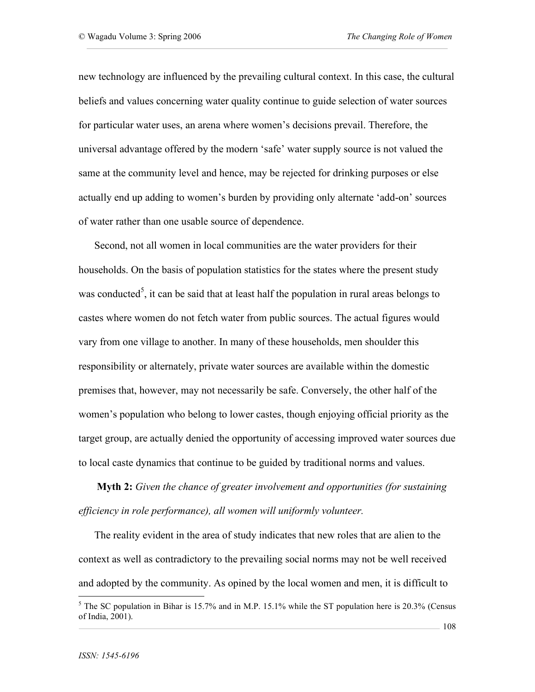new technology are influenced by the prevailing cultural context. In this case, the cultural beliefs and values concerning water quality continue to guide selection of water sources for particular water uses, an arena where women's decisions prevail. Therefore, the universal advantage offered by the modern 'safe' water supply source is not valued the same at the community level and hence, may be rejected for drinking purposes or else actually end up adding to women's burden by providing only alternate 'add-on' sources of water rather than one usable source of dependence.

Second, not all women in local communities are the water providers for their households. On the basis of population statistics for the states where the present study was conducted<sup>5</sup>, it can be said that at least half the population in rural areas belongs to castes where women do not fetch water from public sources. The actual figures would vary from one village to another. In many of these households, men shoulder this responsibility or alternately, private water sources are available within the domestic premises that, however, may not necessarily be safe. Conversely, the other half of the women's population who belong to lower castes, though enjoying official priority as the target group, are actually denied the opportunity of accessing improved water sources due to local caste dynamics that continue to be guided by traditional norms and values.

**Myth 2:** *Given the chance of greater involvement and opportunities (for sustaining efficiency in role performance), all women will uniformly volunteer.*

The reality evident in the area of study indicates that new roles that are alien to the context as well as contradictory to the prevailing social norms may not be well received and adopted by the community. As opined by the local women and men, it is difficult to

<sup>&</sup>lt;sup>5</sup> The SC population in Bihar is 15.7% and in M.P. 15.1% while the ST population here is 20.3% (Census of India, 2001).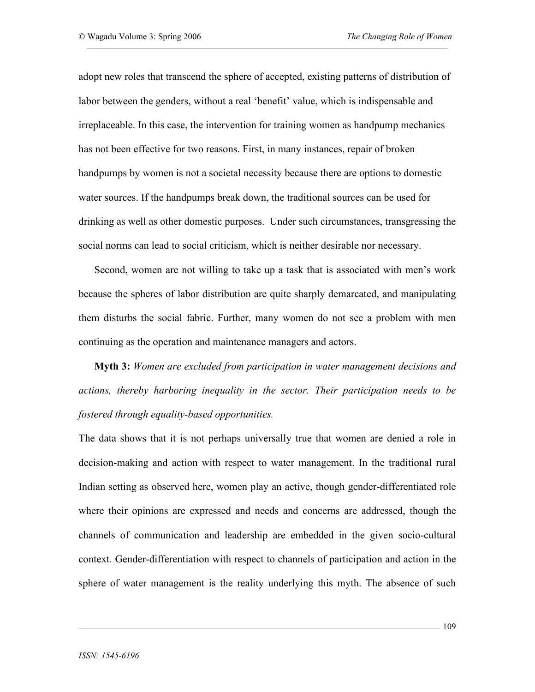adopt new roles that transcend the sphere of accepted, existing patterns of distribution of labor between the genders, without a real 'benefit' value, which is indispensable and irreplaceable. In this case, the intervention for training women as handpump mechanics has not been effective for two reasons. First, in many instances, repair of broken handpumps by women is not a societal necessity because there are options to domestic water sources. If the handpumps break down, the traditional sources can be used for drinking as well as other domestic purposes. Under such circumstances, transgressing the social norms can lead to social criticism, which is neither desirable nor necessary.

Second, women are not willing to take up a task that is associated with men's work because the spheres of labor distribution are quite sharply demarcated, and manipulating them disturbs the social fabric. Further, many women do not see a problem with men continuing as the operation and maintenance managers and actors.

**Myth 3:** *Women are excluded from participation in water management decisions and actions, thereby harboring inequality in the sector. Their participation needs to be fostered through equality-based opportunities.*

The data shows that it is not perhaps universally true that women are denied a role in decision-making and action with respect to water management. In the traditional rural Indian setting as observed here, women play an active, though gender-differentiated role where their opinions are expressed and needs and concerns are addressed, though the channels of communication and leadership are embedded in the given socio-cultural context. Gender-differentiation with respect to channels of participation and action in the sphere of water management is the reality underlying this myth. The absence of such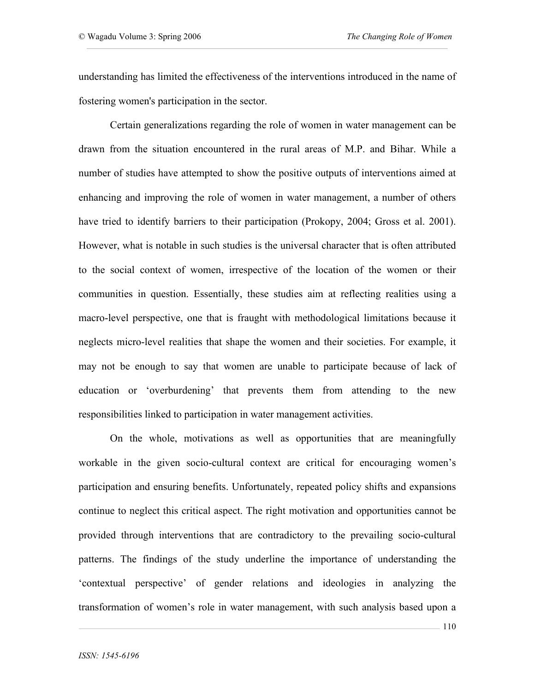understanding has limited the effectiveness of the interventions introduced in the name of fostering women's participation in the sector.

Certain generalizations regarding the role of women in water management can be drawn from the situation encountered in the rural areas of M.P. and Bihar. While a number of studies have attempted to show the positive outputs of interventions aimed at enhancing and improving the role of women in water management, a number of others have tried to identify barriers to their participation (Prokopy, 2004; Gross et al. 2001). However, what is notable in such studies is the universal character that is often attributed to the social context of women, irrespective of the location of the women or their communities in question. Essentially, these studies aim at reflecting realities using a macro-level perspective, one that is fraught with methodological limitations because it neglects micro-level realities that shape the women and their societies. For example, it may not be enough to say that women are unable to participate because of lack of education or 'overburdening' that prevents them from attending to the new responsibilities linked to participation in water management activities.

On the whole, motivations as well as opportunities that are meaningfully workable in the given socio-cultural context are critical for encouraging women's participation and ensuring benefits. Unfortunately, repeated policy shifts and expansions continue to neglect this critical aspect. The right motivation and opportunities cannot be provided through interventions that are contradictory to the prevailing socio-cultural patterns. The findings of the study underline the importance of understanding the 'contextual perspective' of gender relations and ideologies in analyzing the transformation of women's role in water management, with such analysis based upon a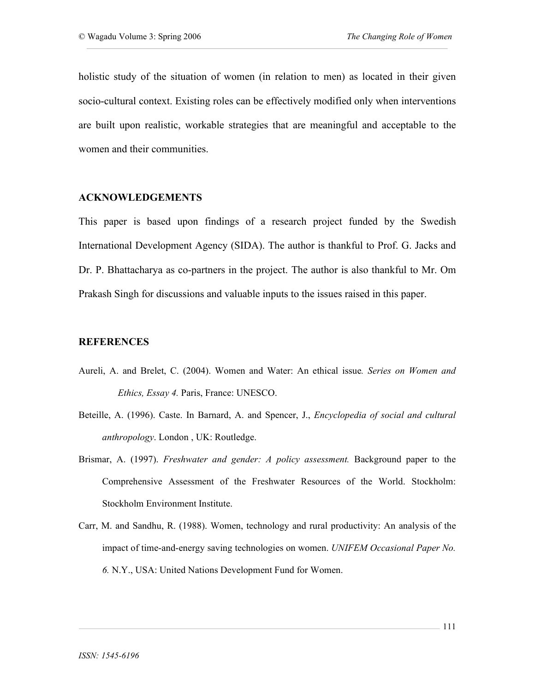holistic study of the situation of women (in relation to men) as located in their given socio-cultural context. Existing roles can be effectively modified only when interventions are built upon realistic, workable strategies that are meaningful and acceptable to the women and their communities.

### **ACKNOWLEDGEMENTS**

This paper is based upon findings of a research project funded by the Swedish International Development Agency (SIDA). The author is thankful to Prof. G. Jacks and Dr. P. Bhattacharya as co-partners in the project. The author is also thankful to Mr. Om Prakash Singh for discussions and valuable inputs to the issues raised in this paper.

### **REFERENCES**

- Aureli, A. and Brelet, C. (2004). Women and Water: An ethical issue*. Series on Women and Ethics, Essay 4.* Paris, France: UNESCO.
- Beteille, A. (1996). Caste. In Barnard, A. and Spencer, J., *Encyclopedia of social and cultural anthropology*. London , UK: Routledge.
- Brismar, A. (1997). *Freshwater and gender: A policy assessment.* Background paper to the Comprehensive Assessment of the Freshwater Resources of the World. Stockholm: Stockholm Environment Institute.
- Carr, M. and Sandhu, R. (1988). Women, technology and rural productivity: An analysis of the impact of time-and-energy saving technologies on women. *UNIFEM Occasional Paper No. 6.* N.Y., USA: United Nations Development Fund for Women.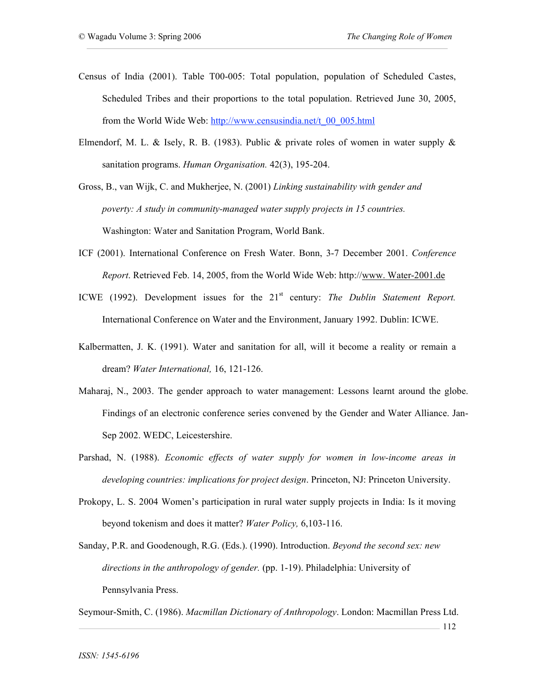- Census of India (2001). Table T00-005: Total population, population of Scheduled Castes, Scheduled Tribes and their proportions to the total population. Retrieved June 30, 2005, from the World Wide Web: http://www.censusindia.net/t\_00\_005.html
- Elmendorf, M. L. & Isely, R. B. (1983). Public & private roles of women in water supply & sanitation programs. *Human Organisation.* 42(3), 195-204.

Gross, B., van Wijk, C. and Mukherjee, N. (2001) *Linking sustainability with gender and poverty: A study in community-managed water supply projects in 15 countries.* Washington: Water and Sanitation Program, World Bank.

- ICF (2001). International Conference on Fresh Water. Bonn, 3-7 December 2001. *Conference Report*. Retrieved Feb. 14, 2005, from the World Wide Web: http://www. Water-2001.de
- ICWE (1992). Development issues for the 21st century: *The Dublin Statement Report.* International Conference on Water and the Environment, January 1992. Dublin: ICWE.
- Kalbermatten, J. K. (1991). Water and sanitation for all, will it become a reality or remain a dream? *Water International,* 16, 121-126.
- Maharaj, N., 2003. The gender approach to water management: Lessons learnt around the globe. Findings of an electronic conference series convened by the Gender and Water Alliance. Jan-Sep 2002. WEDC, Leicestershire.
- Parshad, N. (1988). *Economic effects of water supply for women in low-income areas in developing countries: implications for project design*. Princeton, NJ: Princeton University.
- Prokopy, L. S. 2004 Women's participation in rural water supply projects in India: Is it moving beyond tokenism and does it matter? *Water Policy,* 6,103-116.
- Sanday, P.R. and Goodenough, R.G. (Eds.). (1990). Introduction. *Beyond the second sex: new directions in the anthropology of gender.* (pp. 1-19). Philadelphia: University of Pennsylvania Press.

Seymour-Smith, C. (1986). *Macmillan Dictionary of Anthropology*. London: Macmillan Press Ltd.

112